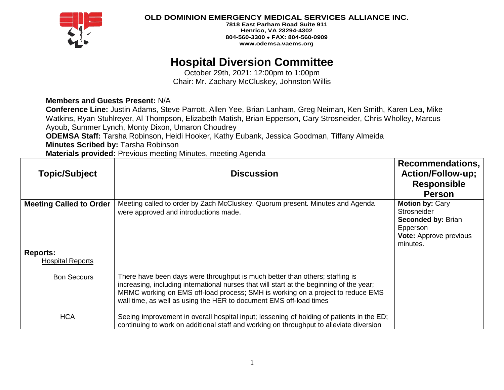

**OLD DOMINION EMERGENCY MEDICAL SERVICES ALLIANCE INC.**

**7818 East Parham Road Suite 911 Henrico, VA 23294-4302 804-560-3300** • **FAX: 804-560-0909 www.odemsa.vaems.org**

# **Hospital Diversion Committee**

October 29th, 2021: 12:00pm to 1:00pm Chair: Mr. Zachary McCluskey, Johnston Willis

## **Members and Guests Present:** N/A

**Conference Line:** Justin Adams, Steve Parrott, Allen Yee, Brian Lanham, Greg Neiman, Ken Smith, Karen Lea, Mike Watkins, Ryan Stuhlreyer, Al Thompson, Elizabeth Matish, Brian Epperson, Cary Strosneider, Chris Wholley, Marcus Ayoub, Summer Lynch, Monty Dixon, Umaron Choudrey

**ODEMSA Staff:** Tarsha Robinson, Heidi Hooker, Kathy Eubank, Jessica Goodman, Tiffany Almeida

**Minutes Scribed by:** Tarsha Robinson

**Materials provided:** Previous meeting Minutes, meeting Agenda

|                                            |                                                                                                                                                                                                                                                                                                                                   | Recommendations,                                                                                                                   |
|--------------------------------------------|-----------------------------------------------------------------------------------------------------------------------------------------------------------------------------------------------------------------------------------------------------------------------------------------------------------------------------------|------------------------------------------------------------------------------------------------------------------------------------|
| <b>Topic/Subject</b>                       | <b>Discussion</b>                                                                                                                                                                                                                                                                                                                 | <b>Action/Follow-up;</b>                                                                                                           |
|                                            |                                                                                                                                                                                                                                                                                                                                   | <b>Responsible</b>                                                                                                                 |
|                                            |                                                                                                                                                                                                                                                                                                                                   | <b>Person</b>                                                                                                                      |
| <b>Meeting Called to Order</b>             | Meeting called to order by Zach McCluskey. Quorum present. Minutes and Agenda<br>were approved and introductions made.                                                                                                                                                                                                            | <b>Motion by: Cary</b><br><b>Strosneider</b><br><b>Seconded by: Brian</b><br>Epperson<br><b>Vote:</b> Approve previous<br>minutes. |
| <b>Reports:</b><br><b>Hospital Reports</b> |                                                                                                                                                                                                                                                                                                                                   |                                                                                                                                    |
| <b>Bon Secours</b>                         | There have been days were throughput is much better than others; staffing is<br>increasing, including international nurses that will start at the beginning of the year;<br>MRMC working on EMS off-load process; SMH is working on a project to reduce EMS<br>wall time, as well as using the HER to document EMS off-load times |                                                                                                                                    |
| <b>HCA</b>                                 | Seeing improvement in overall hospital input; lessening of holding of patients in the ED;<br>continuing to work on additional staff and working on throughput to alleviate diversion                                                                                                                                              |                                                                                                                                    |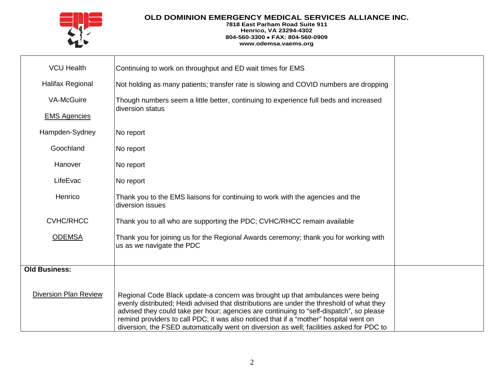

### **OLD DOMINION EMERGENCY MEDICAL SERVICES ALLIANCE INC.**

#### **7818 East Parham Road Suite 911 Henrico, VA 23294-4302 804-560-3300** • **FAX: 804-560-0909 www.odemsa.vaems.org**

| <b>VCU Health</b>            | Continuing to work on throughput and ED wait times for EMS                                                                                                                                                                                                                                                                                                                                                                                                  |  |
|------------------------------|-------------------------------------------------------------------------------------------------------------------------------------------------------------------------------------------------------------------------------------------------------------------------------------------------------------------------------------------------------------------------------------------------------------------------------------------------------------|--|
| <b>Halifax Regional</b>      | Not holding as many patients; transfer rate is slowing and COVID numbers are dropping                                                                                                                                                                                                                                                                                                                                                                       |  |
| <b>VA-McGuire</b>            | Though numbers seem a little better, continuing to experience full beds and increased                                                                                                                                                                                                                                                                                                                                                                       |  |
| <b>EMS Agencies</b>          | diversion status                                                                                                                                                                                                                                                                                                                                                                                                                                            |  |
| Hampden-Sydney               | No report                                                                                                                                                                                                                                                                                                                                                                                                                                                   |  |
| Goochland                    | No report                                                                                                                                                                                                                                                                                                                                                                                                                                                   |  |
| Hanover                      | No report                                                                                                                                                                                                                                                                                                                                                                                                                                                   |  |
| LifeEvac                     | No report                                                                                                                                                                                                                                                                                                                                                                                                                                                   |  |
| Henrico                      | Thank you to the EMS liaisons for continuing to work with the agencies and the<br>diversion issues                                                                                                                                                                                                                                                                                                                                                          |  |
| <b>CVHC/RHCC</b>             | Thank you to all who are supporting the PDC; CVHC/RHCC remain available                                                                                                                                                                                                                                                                                                                                                                                     |  |
| <b>ODEMSA</b>                | Thank you for joining us for the Regional Awards ceremony; thank you for working with<br>us as we navigate the PDC                                                                                                                                                                                                                                                                                                                                          |  |
| <b>Old Business:</b>         |                                                                                                                                                                                                                                                                                                                                                                                                                                                             |  |
| <b>Diversion Plan Review</b> | Regional Code Black update-a concern was brought up that ambulances were being<br>evenly distributed; Heidi advised that distributions are under the threshold of what they<br>advised they could take per hour; agencies are continuing to "self-dispatch", so please<br>remind providers to call PDC; it was also noticed that if a "mother" hospital went on<br>diversion, the FSED automatically went on diversion as well; facilities asked for PDC to |  |